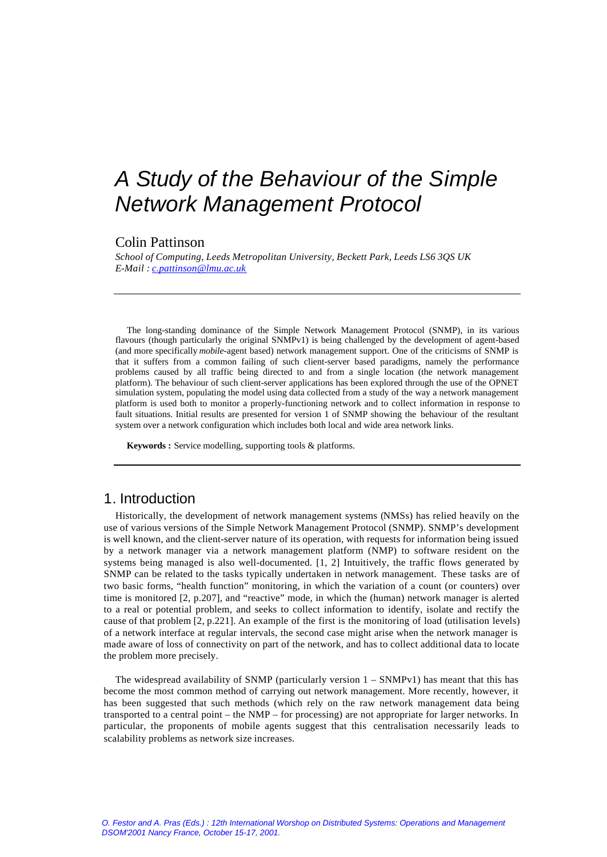# *A Study of the Behaviour of the Simple Network Management Protocol*

#### Colin Pattinson

*School of Computing, Leeds Metropolitan University, Beckett Park, Leeds LS6 3QS UK E-Mail : c.pattinson@lmu.ac.uk*

The long-standing dominance of the Simple Network Management Protocol (SNMP), in its various flavours (though particularly the original SNMPv1) is being challenged by the development of agent-based (and more specifically *mobile*-agent based) network management support. One of the criticisms of SNMP is that it suffers from a common failing of such client-server based paradigms, namely the performance problems caused by all traffic being directed to and from a single location (the network management platform). The behaviour of such client-server applications has been explored through the use of the OPNET simulation system, populating the model using data collected from a study of the way a network management platform is used both to monitor a properly-functioning network and to collect information in response to fault situations. Initial results are presented for version 1 of SNMP showing the behaviour of the resultant system over a network configuration which includes both local and wide area network links.

**Keywords :** Service modelling, supporting tools & platforms.

# 1. Introduction

Historically, the development of network management systems (NMSs) has relied heavily on the use of various versions of the Simple Network Management Protocol (SNMP). SNMP's development is well known, and the client-server nature of its operation, with requests for information being issued by a network manager via a network management platform (NMP) to software resident on the systems being managed is also well-documented. [1, 2] Intuitively, the traffic flows generated by SNMP can be related to the tasks typically undertaken in network management. These tasks are of two basic forms, "health function" monitoring, in which the variation of a count (or counters) over time is monitored [2, p.207], and "reactive" mode, in which the (human) network manager is alerted to a real or potential problem, and seeks to collect information to identify, isolate and rectify the cause of that problem [2, p.221]. An example of the first is the monitoring of load (utilisation levels) of a network interface at regular intervals, the second case might arise when the network manager is made aware of loss of connectivity on part of the network, and has to collect additional data to locate the problem more precisely.

The widespread availability of SNMP (particularly version  $1 - \text{SNMPv1}$ ) has meant that this has become the most common method of carrying out network management. More recently, however, it has been suggested that such methods (which rely on the raw network management data being transported to a central point – the NMP – for processing) are not appropriate for larger networks. In particular, the proponents of mobile agents suggest that this centralisation necessarily leads to scalability problems as network size increases.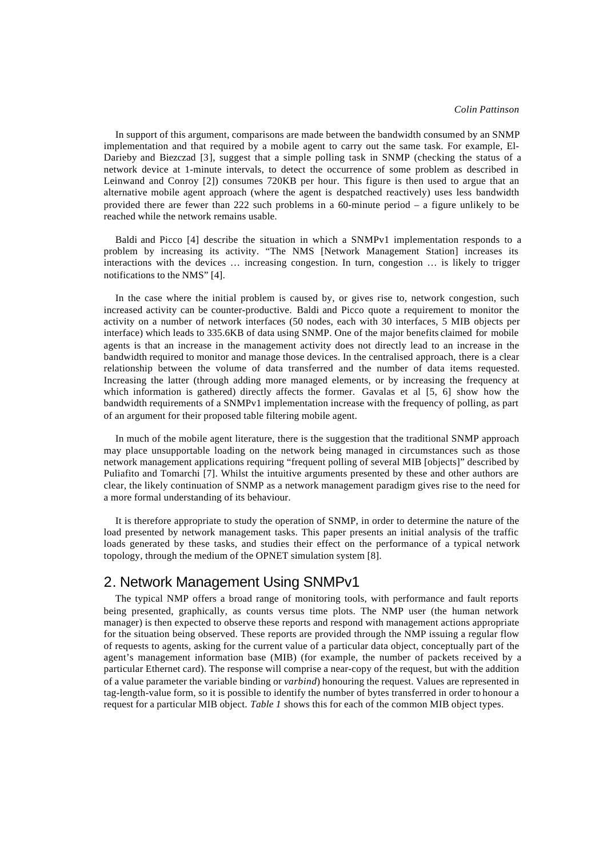In support of this argument, comparisons are made between the bandwidth consumed by an SNMP implementation and that required by a mobile agent to carry out the same task. For example, El-Darieby and Biezczad [3], suggest that a simple polling task in SNMP (checking the status of a network device at 1-minute intervals, to detect the occurrence of some problem as described in Leinwand and Conroy [2]) consumes 720KB per hour. This figure is then used to argue that an alternative mobile agent approach (where the agent is despatched reactively) uses less bandwidth provided there are fewer than 222 such problems in a 60-minute period – a figure unlikely to be reached while the network remains usable.

Baldi and Picco [4] describe the situation in which a SNMPv1 implementation responds to a problem by increasing its activity. "The NMS [Network Management Station] increases its interactions with the devices … increasing congestion. In turn, congestion … is likely to trigger notifications to the NMS" [4].

In the case where the initial problem is caused by, or gives rise to, network congestion, such increased activity can be counter-productive. Baldi and Picco quote a requirement to monitor the activity on a number of network interfaces (50 nodes, each with 30 interfaces, 5 MIB objects per interface) which leads to 335.6KB of data using SNMP. One of the major benefits claimed for mobile agents is that an increase in the management activity does not directly lead to an increase in the bandwidth required to monitor and manage those devices. In the centralised approach, there is a clear relationship between the volume of data transferred and the number of data items requested. Increasing the latter (through adding more managed elements, or by increasing the frequency at which information is gathered) directly affects the former. Gavalas et al [5, 6] show how the bandwidth requirements of a SNMPv1 implementation increase with the frequency of polling, as part of an argument for their proposed table filtering mobile agent.

In much of the mobile agent literature, there is the suggestion that the traditional SNMP approach may place unsupportable loading on the network being managed in circumstances such as those network management applications requiring "frequent polling of several MIB [objects]" described by Puliafito and Tomarchi [7]. Whilst the intuitive arguments presented by these and other authors are clear, the likely continuation of SNMP as a network management paradigm gives rise to the need for a more formal understanding of its behaviour.

It is therefore appropriate to study the operation of SNMP, in order to determine the nature of the load presented by network management tasks. This paper presents an initial analysis of the traffic loads generated by these tasks, and studies their effect on the performance of a typical network topology, through the medium of the OPNET simulation system [8].

# 2. Network Management Using SNMPv1

The typical NMP offers a broad range of monitoring tools, with performance and fault reports being presented, graphically, as counts versus time plots. The NMP user (the human network manager) is then expected to observe these reports and respond with management actions appropriate for the situation being observed. These reports are provided through the NMP issuing a regular flow of requests to agents, asking for the current value of a particular data object, conceptually part of the agent's management information base (MIB) (for example, the number of packets received by a particular Ethernet card). The response will comprise a near-copy of the request, but with the addition of a value parameter the variable binding or *varbind*) honouring the request. Values are represented in tag-length-value form, so it is possible to identify the number of bytes transferred in order to honour a request for a particular MIB object. *Table 1* shows this for each of the common MIB object types.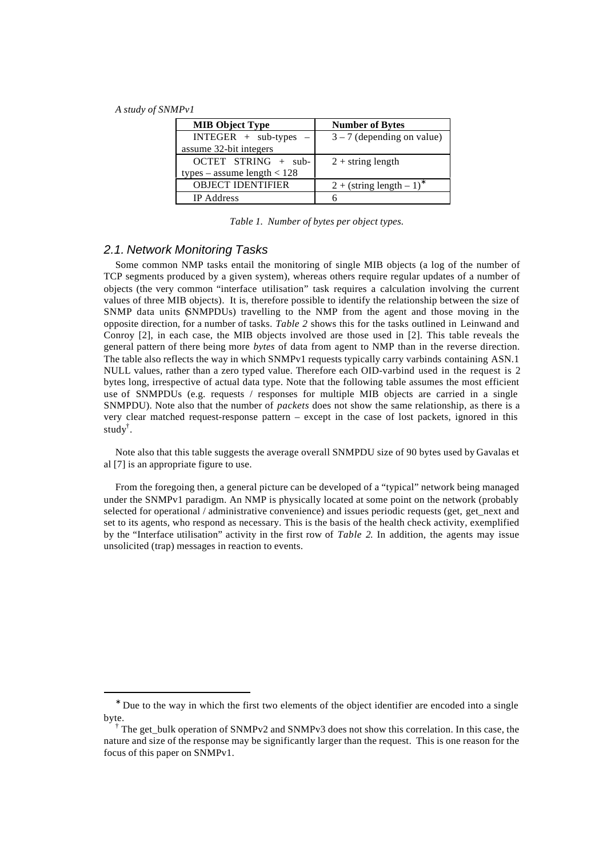l

| <b>MIB Object Type</b>        | <b>Number of Bytes</b>       |
|-------------------------------|------------------------------|
| $INTER + sub-types -$         | $3 - 7$ (depending on value) |
| assume 32-bit integers        |                              |
| OCTET STRING + sub-           | $2 +$ string length          |
| types – assume length $< 128$ |                              |
| <b>OBJECT IDENTIFIER</b>      | $2 + (string length - 1)^*$  |
| <b>IP</b> Address             |                              |

*Table 1. Number of bytes per object types.*

#### *2.1. Network Monitoring Tasks*

Some common NMP tasks entail the monitoring of single MIB objects (a log of the number of TCP segments produced by a given system), whereas others require regular updates of a number of objects (the very common "interface utilisation" task requires a calculation involving the current values of three MIB objects). It is, therefore possible to identify the relationship between the size of SNMP data units (SNMPDUs) travelling to the NMP from the agent and those moving in the opposite direction, for a number of tasks. *Table 2* shows this for the tasks outlined in Leinwand and Conroy [2], in each case, the MIB objects involved are those used in [2]. This table reveals the general pattern of there being more *bytes* of data from agent to NMP than in the reverse direction. The table also reflects the way in which SNMPv1 requests typically carry varbinds containing ASN.1 NULL values, rather than a zero typed value. Therefore each OID-varbind used in the request is 2 bytes long, irrespective of actual data type. Note that the following table assumes the most efficient use of SNMPDUs (e.g. requests / responses for multiple MIB objects are carried in a single SNMPDU). Note also that the number of *packets* does not show the same relationship, as there is a very clear matched request-response pattern – except in the case of lost packets, ignored in this study† .

Note also that this table suggests the average overall SNMPDU size of 90 bytes used by Gavalas et al [7] is an appropriate figure to use.

From the foregoing then, a general picture can be developed of a "typical" network being managed under the SNMPv1 paradigm. An NMP is physically located at some point on the network (probably selected for operational / administrative convenience) and issues periodic requests (get, get next and set to its agents, who respond as necessary. This is the basis of the health check activity, exemplified by the "Interface utilisation" activity in the first row of *Table 2*. In addition, the agents may issue unsolicited (trap) messages in reaction to events.

<sup>∗</sup> Due to the way in which the first two elements of the object identifier are encoded into a single byte.

<sup>†</sup> The get\_bulk operation of SNMPv2 and SNMPv3 does not show this correlation. In this case, the nature and size of the response may be significantly larger than the request. This is one reason for the focus of this paper on SNMPv1.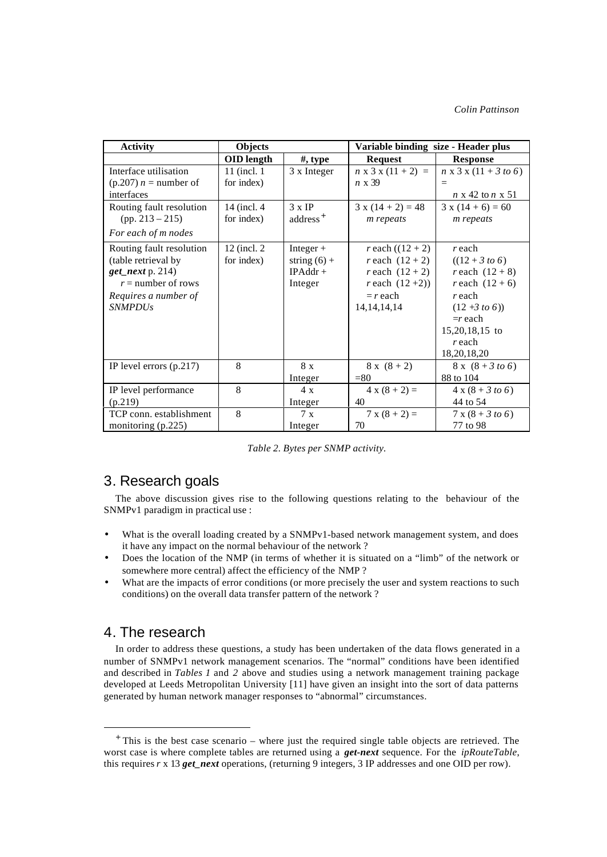| <b>Activity</b>                                                                                                                          | Objects                                    |                                                        | Variable binding size - Header plus                                                                                                          |                                                                                                                                                               |
|------------------------------------------------------------------------------------------------------------------------------------------|--------------------------------------------|--------------------------------------------------------|----------------------------------------------------------------------------------------------------------------------------------------------|---------------------------------------------------------------------------------------------------------------------------------------------------------------|
|                                                                                                                                          | <b>OID</b> length                          | $#$ , type                                             | <b>Request</b>                                                                                                                               | <b>Response</b>                                                                                                                                               |
| Interface utilisation<br>$(p.207) n =$ number of<br>interfaces<br>Routing fault resolution                                               | 11 (incl. 1)<br>for index)<br>14 (incl. 4) | 3 x Integer<br>$3 \times IP$                           | $n \times 3 \times (11 + 2) =$<br>$n \times 39$<br>$3x(14+2)=48$                                                                             | $n \times 3 \times (11 + 3 \text{ to } 6)$<br>$n \times 42$ to $n \times 51$<br>$3x(14+6)=60$                                                                 |
| $(pp. 213 - 215)$<br>For each of m nodes                                                                                                 | for index)                                 | address <sup>+</sup>                                   | <i>m</i> repeats                                                                                                                             | <i>m</i> repeats                                                                                                                                              |
| Routing fault resolution<br>(table retrieval by<br>$get\_next$ p. 214)<br>$r =$ number of rows<br>Requires a number of<br><i>SNMPDUs</i> | 12 (incl. 2)<br>for index)                 | Integer $+$<br>string $(6) +$<br>$IPAddr +$<br>Integer | <i>r</i> each $((12 + 2))$<br><i>r</i> each $(12 + 2)$<br><i>r</i> each $(12 + 2)$<br><i>r</i> each $(12+2)$<br>$= r$ each<br>14, 14, 14, 14 | r each<br>$((12 + 3 to 6))$<br>r each $(12 + 8)$<br>r each $(12 + 6)$<br>r each<br>$(12 + 3 to 6))$<br>$=r$ each<br>15,20,18,15 to<br>$r$ each<br>18,20,18,20 |
| IP level errors $(p.217)$                                                                                                                | 8                                          | 8 x<br>Integer                                         | $8x(8+2)$<br>$= 80$                                                                                                                          | $8 \times (8 + 3 \text{ to } 6)$<br>88 to 104                                                                                                                 |
| IP level performance<br>(p.219)                                                                                                          | 8                                          | 4x<br>Integer                                          | $4 x (8 + 2) =$<br>40                                                                                                                        | $4 \times (8 + 3 \text{ to } 6)$<br>44 to 54                                                                                                                  |
| TCP conn. establishment<br>monitoring (p.225)                                                                                            | 8                                          | 7 x<br>Integer                                         | $7 x (8 + 2) =$<br>70                                                                                                                        | $7 \times (8 + 3 \text{ to } 6)$<br>77 to 98                                                                                                                  |

*Table 2. Bytes per SNMP activity.*

# 3. Research goals

The above discussion gives rise to the following questions relating to the behaviour of the SNMPv1 paradigm in practical use :

- What is the overall loading created by a SNMPv1-based network management system, and does it have any impact on the normal behaviour of the network ?
- Does the location of the NMP (in terms of whether it is situated on a "limb" of the network or somewhere more central) affect the efficiency of the NMP ?
- What are the impacts of error conditions (or more precisely the user and system reactions to such conditions) on the overall data transfer pattern of the network ?

## 4. The research

l

In order to address these questions, a study has been undertaken of the data flows generated in a number of SNMPv1 network management scenarios. The "normal" conditions have been identified and described in *Tables 1* and *2* above and studies using a network management training package developed at Leeds Metropolitan University [11] have given an insight into the sort of data patterns generated by human network manager responses to "abnormal" circumstances.

<sup>+</sup> This is the best case scenario – where just the required single table objects are retrieved. The worst case is where complete tables are returned using a *get-next* sequence. For the *ipRouteTable*, this requires *r* x 13 *get\_next* operations, (returning 9 integers, 3 IP addresses and one OID per row).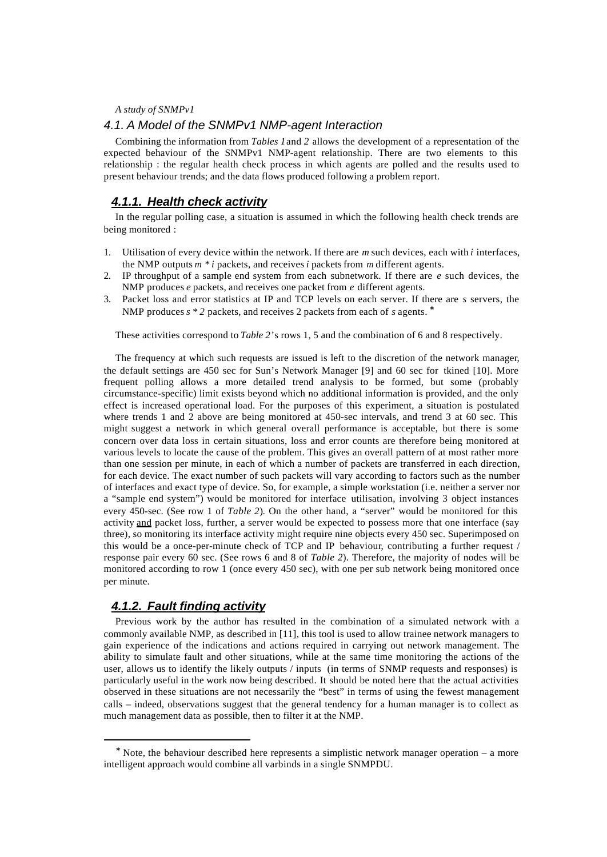#### *4.1. A Model of the SNMPv1 NMP-agent Interaction*

Combining the information from *Tables 1*and *2* allows the development of a representation of the expected behaviour of the SNMPv1 NMP-agent relationship. There are two elements to this relationship : the regular health check process in which agents are polled and the results used to present behaviour trends; and the data flows produced following a problem report.

## *4.1.1. Health check activity*

In the regular polling case, a situation is assumed in which the following health check trends are being monitored :

- 1. Utilisation of every device within the network. If there are *m* such devices, each with *i* interfaces, the NMP outputs *m \* i* packets, and receives *i* packets from *m* different agents.
- 2. IP throughput of a sample end system from each subnetwork. If there are *e* such devices, the NMP produces *e* packets, and receives one packet from *e* different agents.
- 3. Packet loss and error statistics at IP and TCP levels on each server. If there are *s* servers, the NMP produces  $s * 2$  packets, and receives 2 packets from each of *s* agents. <sup>\*</sup>

These activities correspond to *Table 2*'s rows 1, 5 and the combination of 6 and 8 respectively.

The frequency at which such requests are issued is left to the discretion of the network manager, the default settings are 450 sec for Sun's Network Manager [9] and 60 sec for tkined [10]. More frequent polling allows a more detailed trend analysis to be formed, but some (probably circumstance-specific) limit exists beyond which no additional information is provided, and the only effect is increased operational load. For the purposes of this experiment, a situation is postulated where trends 1 and 2 above are being monitored at 450-sec intervals, and trend 3 at 60 sec. This might suggest a network in which general overall performance is acceptable, but there is some concern over data loss in certain situations, loss and error counts are therefore being monitored at various levels to locate the cause of the problem. This gives an overall pattern of at most rather more than one session per minute, in each of which a number of packets are transferred in each direction, for each device. The exact number of such packets will vary according to factors such as the number of interfaces and exact type of device. So, for example, a simple workstation (i.e. neither a server nor a "sample end system") would be monitored for interface utilisation, involving 3 object instances every 450-sec. (See row 1 of *Table 2*). On the other hand, a "server" would be monitored for this activity and packet loss, further, a server would be expected to possess more that one interface (say three), so monitoring its interface activity might require nine objects every 450 sec. Superimposed on this would be a once-per-minute check of TCP and IP behaviour, contributing a further request / response pair every 60 sec. (See rows 6 and 8 of *Table 2*). Therefore, the majority of nodes will be monitored according to row 1 (once every 450 sec), with one per sub network being monitored once per minute.

#### *4.1.2. Fault finding activity*

l

Previous work by the author has resulted in the combination of a simulated network with a commonly available NMP, as described in [11], this tool is used to allow trainee network managers to gain experience of the indications and actions required in carrying out network management. The ability to simulate fault and other situations, while at the same time monitoring the actions of the user, allows us to identify the likely outputs / inputs (in terms of SNMP requests and responses) is particularly useful in the work now being described. It should be noted here that the actual activities observed in these situations are not necessarily the "best" in terms of using the fewest management calls – indeed, observations suggest that the general tendency for a human manager is to collect as much management data as possible, then to filter it at the NMP.

<sup>∗</sup> Note, the behaviour described here represents a simplistic network manager operation – a more intelligent approach would combine all varbinds in a single SNMPDU.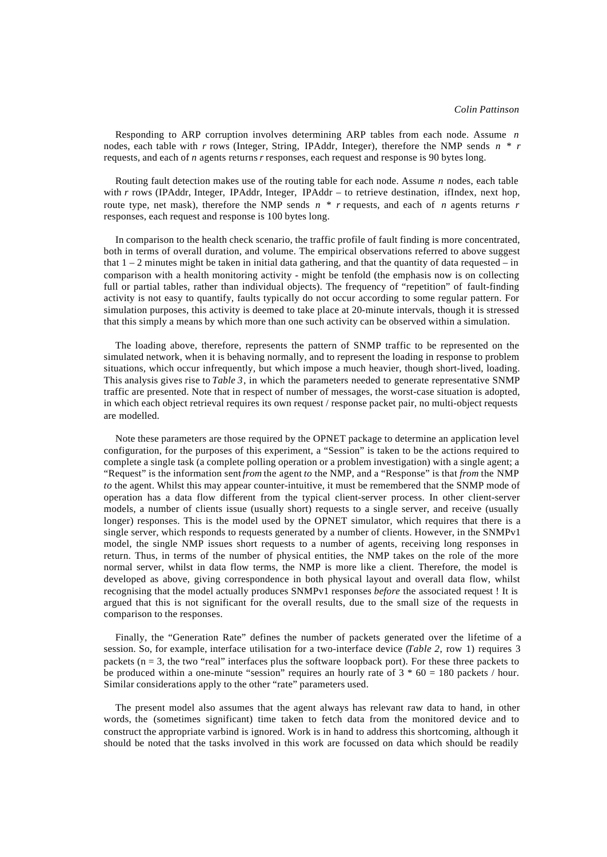Responding to ARP corruption involves determining ARP tables from each node. Assume *n* nodes, each table with *r* rows (Integer, String, IPAddr, Integer), therefore the NMP sends *n \* r* requests, and each of *n* agents returns *r* responses, each request and response is 90 bytes long.

Routing fault detection makes use of the routing table for each node. Assume *n* nodes, each table with *r* rows (IPAddr, Integer, IPAddr, Integer, IPAddr – to retrieve destination, ifIndex, next hop, route type, net mask), therefore the NMP sends *n \* r* requests, and each of *n* agents returns *r* responses, each request and response is 100 bytes long.

In comparison to the health check scenario, the traffic profile of fault finding is more concentrated, both in terms of overall duration, and volume. The empirical observations referred to above suggest that  $1 - 2$  minutes might be taken in initial data gathering, and that the quantity of data requested – in comparison with a health monitoring activity - might be tenfold (the emphasis now is on collecting full or partial tables, rather than individual objects). The frequency of "repetition" of fault-finding activity is not easy to quantify, faults typically do not occur according to some regular pattern. For simulation purposes, this activity is deemed to take place at 20-minute intervals, though it is stressed that this simply a means by which more than one such activity can be observed within a simulation.

The loading above, therefore, represents the pattern of SNMP traffic to be represented on the simulated network, when it is behaving normally, and to represent the loading in response to problem situations, which occur infrequently, but which impose a much heavier, though short-lived, loading. This analysis gives rise to *Table 3*, in which the parameters needed to generate representative SNMP traffic are presented. Note that in respect of number of messages, the worst-case situation is adopted, in which each object retrieval requires its own request / response packet pair, no multi-object requests are modelled.

Note these parameters are those required by the OPNET package to determine an application level configuration, for the purposes of this experiment, a "Session" is taken to be the actions required to complete a single task (a complete polling operation or a problem investigation) with a single agent; a "Request" is the information sent *from* the agent *to* the NMP, and a "Response" is that *from* the NMP *to* the agent. Whilst this may appear counter-intuitive, it must be remembered that the SNMP mode of operation has a data flow different from the typical client-server process. In other client-server models, a number of clients issue (usually short) requests to a single server, and receive (usually longer) responses. This is the model used by the OPNET simulator, which requires that there is a single server, which responds to requests generated by a number of clients. However, in the SNMPv1 model, the single NMP issues short requests to a number of agents, receiving long responses in return. Thus, in terms of the number of physical entities, the NMP takes on the role of the more normal server, whilst in data flow terms, the NMP is more like a client. Therefore, the model is developed as above, giving correspondence in both physical layout and overall data flow, whilst recognising that the model actually produces SNMPv1 responses *before* the associated request ! It is argued that this is not significant for the overall results, due to the small size of the requests in comparison to the responses.

Finally, the "Generation Rate" defines the number of packets generated over the lifetime of a session. So, for example, interface utilisation for a two-interface device (*Table 2*, row 1) requires 3 packets  $(n = 3,$  the two "real" interfaces plus the software loopback port). For these three packets to be produced within a one-minute "session" requires an hourly rate of  $3 * 60 = 180$  packets / hour. Similar considerations apply to the other "rate" parameters used.

The present model also assumes that the agent always has relevant raw data to hand, in other words, the (sometimes significant) time taken to fetch data from the monitored device and to construct the appropriate varbind is ignored. Work is in hand to address this shortcoming, although it should be noted that the tasks involved in this work are focussed on data which should be readily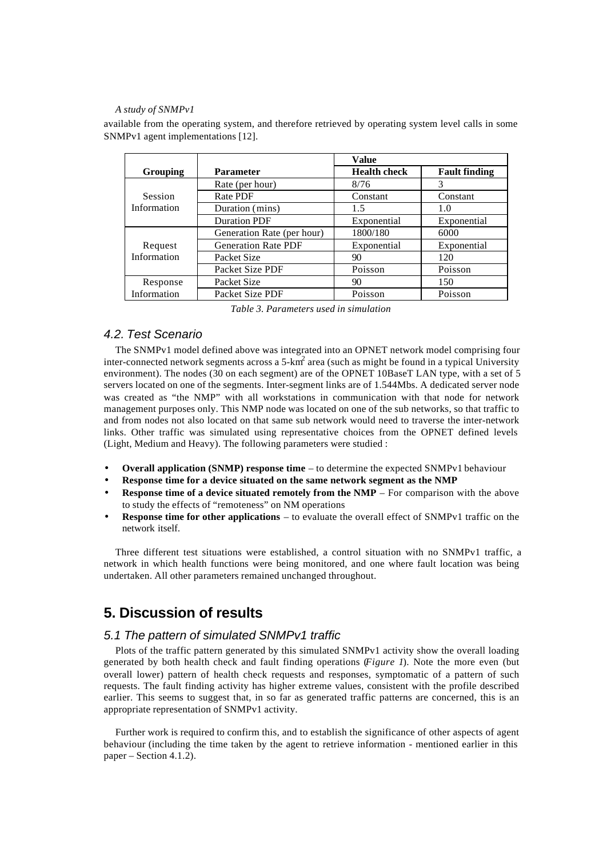available from the operating system, and therefore retrieved by operating system level calls in some SNMPv1 agent implementations [12].

|                        |                            | <b>Value</b>        |                      |
|------------------------|----------------------------|---------------------|----------------------|
| Grouping               | <b>Parameter</b>           | <b>Health check</b> | <b>Fault finding</b> |
| Session<br>Information | Rate (per hour)            | 8/76                | 3                    |
|                        | Rate PDF                   | Constant            | Constant             |
|                        | Duration (mins)            | 1.5                 | 1.0                  |
|                        | <b>Duration PDF</b>        | Exponential         | Exponential          |
| Request<br>Information | Generation Rate (per hour) | 1800/180            | 6000                 |
|                        | <b>Generation Rate PDF</b> | Exponential         | Exponential          |
|                        | Packet Size                | 90                  | 120                  |
|                        | Packet Size PDF            | Poisson             | Poisson              |
| Response               | Packet Size                | 90                  | 150                  |
| Information            | Packet Size PDF            | Poisson             | Poisson              |

| Table 3. Parameters used in simulation |  |  |
|----------------------------------------|--|--|
|----------------------------------------|--|--|

#### *4.2. Test Scenario*

The SNMPv1 model defined above was integrated into an OPNET network model comprising four inter-connected network segments across a 5-km<sup>2</sup> area (such as might be found in a typical University environment). The nodes (30 on each segment) are of the OPNET 10BaseT LAN type, with a set of 5 servers located on one of the segments. Inter-segment links are of 1.544Mbs. A dedicated server node was created as "the NMP" with all workstations in communication with that node for network management purposes only. This NMP node was located on one of the sub networks, so that traffic to and from nodes not also located on that same sub network would need to traverse the inter-network links. Other traffic was simulated using representative choices from the OPNET defined levels (Light, Medium and Heavy). The following parameters were studied :

- **Overall application (SNMP) response time** to determine the expected SNMPv1 behaviour
- **Response time for a device situated on the same network segment as the NMP**
- **Response time of a device situated remotely from the NMP** For comparison with the above to study the effects of "remoteness" on NM operations
- **Response time for other applications** to evaluate the overall effect of SNMPv1 traffic on the network itself.

Three different test situations were established, a control situation with no SNMPv1 traffic, a network in which health functions were being monitored, and one where fault location was being undertaken. All other parameters remained unchanged throughout.

# **5. Discussion of results**

#### *5.1 The pattern of simulated SNMPv1 traffic*

Plots of the traffic pattern generated by this simulated SNMPv1 activity show the overall loading generated by both health check and fault finding operations (*Figure 1*). Note the more even (but overall lower) pattern of health check requests and responses, symptomatic of a pattern of such requests. The fault finding activity has higher extreme values, consistent with the profile described earlier. This seems to suggest that, in so far as generated traffic patterns are concerned, this is an appropriate representation of SNMPv1 activity.

Further work is required to confirm this, and to establish the significance of other aspects of agent behaviour (including the time taken by the agent to retrieve information - mentioned earlier in this paper – Section 4.1.2).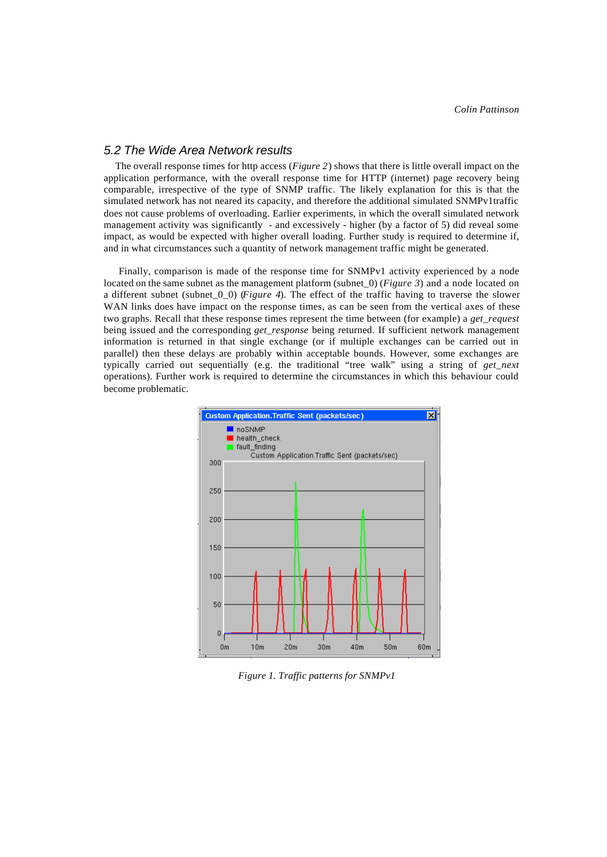#### *5.2 The Wide Area Network results*

The overall response times for http access (*Figure 2*) shows that there is little overall impact on the application performance, with the overall response time for HTTP (internet) page recovery being comparable, irrespective of the type of SNMP traffic. The likely explanation for this is that the simulated network has not neared its capacity, and therefore the additional simulated SNMPv1traffic does not cause problems of overloading. Earlier experiments, in which the overall simulated network management activity was significantly - and excessively - higher (by a factor of 5) did reveal some impact, as would be expected with higher overall loading. Further study is required to determine if, and in what circumstances such a quantity of network management traffic might be generated.

 Finally, comparison is made of the response time for SNMPv1 activity experienced by a node located on the same subnet as the management platform (subnet\_0) (*Figure 3*) and a node located on a different subnet (subnet\_0\_0) (*Figure 4*). The effect of the traffic having to traverse the slower WAN links does have impact on the response times, as can be seen from the vertical axes of these two graphs. Recall that these response times represent the time between (for example) a *get\_request* being issued and the corresponding *get response* being returned. If sufficient network management information is returned in that single exchange (or if multiple exchanges can be carried out in parallel) then these delays are probably within acceptable bounds. However, some exchanges are typically carried out sequentially (e.g. the traditional "tree walk" using a string of *get\_next* operations). Further work is required to determine the circumstances in which this behaviour could become problematic.



*Figure 1. Traffic patterns for SNMPv1*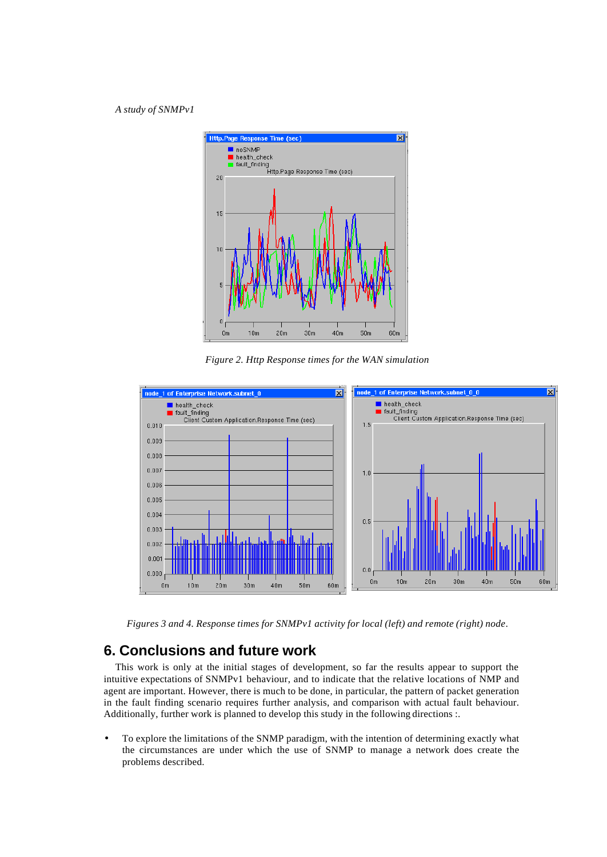

*Figure 2. Http Response times for the WAN simulation*



*Figures 3 and 4. Response times for SNMPv1 activity for local (left) and remote (right) node*.

# **6. Conclusions and future work**

This work is only at the initial stages of development, so far the results appear to support the intuitive expectations of SNMPv1 behaviour, and to indicate that the relative locations of NMP and agent are important. However, there is much to be done, in particular, the pattern of packet generation in the fault finding scenario requires further analysis, and comparison with actual fault behaviour. Additionally, further work is planned to develop this study in the following directions :.

• To explore the limitations of the SNMP paradigm, with the intention of determining exactly what the circumstances are under which the use of SNMP to manage a network does create the problems described.